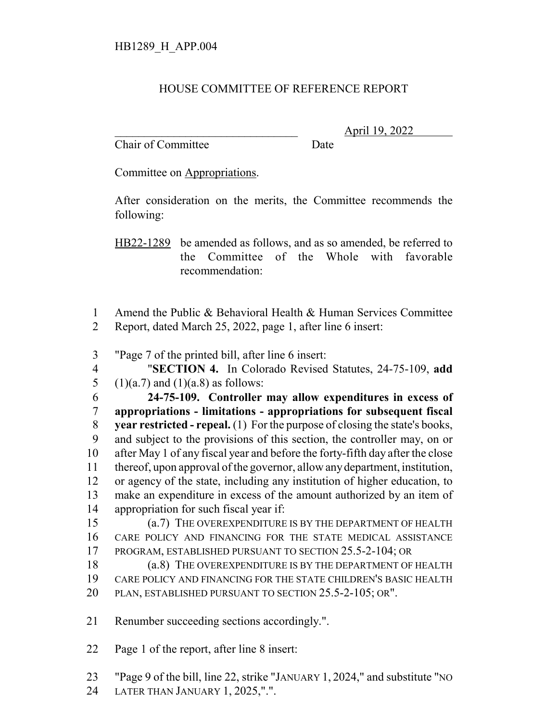## HOUSE COMMITTEE OF REFERENCE REPORT

Chair of Committee Date

\_\_\_\_\_\_\_\_\_\_\_\_\_\_\_\_\_\_\_\_\_\_\_\_\_\_\_\_\_\_\_ April 19, 2022

Committee on Appropriations.

After consideration on the merits, the Committee recommends the following:

HB22-1289 be amended as follows, and as so amended, be referred to the Committee of the Whole with favorable recommendation:

- Amend the Public & Behavioral Health & Human Services Committee Report, dated March 25, 2022, page 1, after line 6 insert:
- "Page 7 of the printed bill, after line 6 insert:
- "**SECTION 4.** In Colorado Revised Statutes, 24-75-109, **add** 5 (1)(a.7) and (1)(a.8) as follows:

 **24-75-109. Controller may allow expenditures in excess of appropriations - limitations - appropriations for subsequent fiscal year restricted - repeal.** (1) For the purpose of closing the state's books, and subject to the provisions of this section, the controller may, on or after May 1 of any fiscal year and before the forty-fifth day after the close thereof, upon approval of the governor, allow any department, institution, or agency of the state, including any institution of higher education, to make an expenditure in excess of the amount authorized by an item of appropriation for such fiscal year if:

 (a.7) THE OVEREXPENDITURE IS BY THE DEPARTMENT OF HEALTH CARE POLICY AND FINANCING FOR THE STATE MEDICAL ASSISTANCE PROGRAM, ESTABLISHED PURSUANT TO SECTION 25.5-2-104; OR

 (a.8) THE OVEREXPENDITURE IS BY THE DEPARTMENT OF HEALTH CARE POLICY AND FINANCING FOR THE STATE CHILDREN'S BASIC HEALTH PLAN, ESTABLISHED PURSUANT TO SECTION 25.5-2-105; OR".

Renumber succeeding sections accordingly.".

Page 1 of the report, after line 8 insert:

"Page 9 of the bill, line 22, strike "JANUARY 1, 2024," and substitute "NO

LATER THAN JANUARY 1, 2025,".".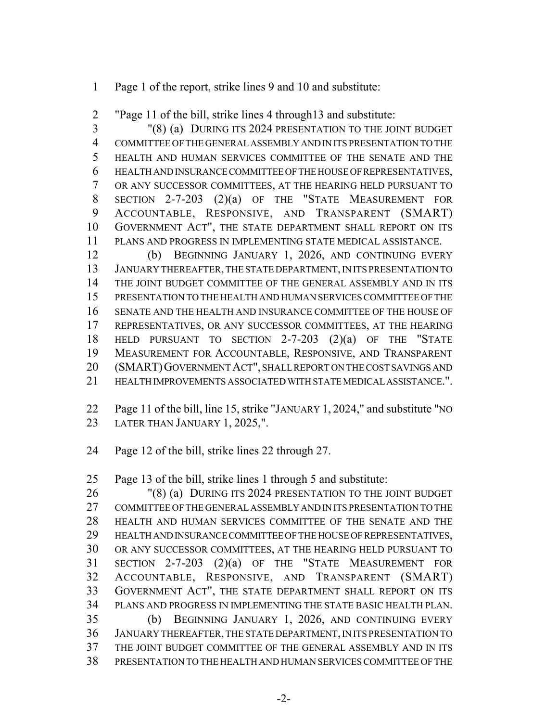Page 1 of the report, strike lines 9 and 10 and substitute:

"Page 11 of the bill, strike lines 4 through13 and substitute:

 "(8) (a) DURING ITS 2024 PRESENTATION TO THE JOINT BUDGET COMMITTEE OF THE GENERAL ASSEMBLY AND IN ITS PRESENTATION TO THE HEALTH AND HUMAN SERVICES COMMITTEE OF THE SENATE AND THE HEALTH AND INSURANCE COMMITTEE OF THE HOUSE OF REPRESENTATIVES, OR ANY SUCCESSOR COMMITTEES, AT THE HEARING HELD PURSUANT TO SECTION 2-7-203 (2)(a) OF THE "STATE MEASUREMENT FOR ACCOUNTABLE, RESPONSIVE, AND TRANSPARENT (SMART) GOVERNMENT ACT", THE STATE DEPARTMENT SHALL REPORT ON ITS PLANS AND PROGRESS IN IMPLEMENTING STATE MEDICAL ASSISTANCE.

 (b) BEGINNING JANUARY 1, 2026, AND CONTINUING EVERY JANUARY THEREAFTER, THE STATE DEPARTMENT, IN ITS PRESENTATION TO THE JOINT BUDGET COMMITTEE OF THE GENERAL ASSEMBLY AND IN ITS PRESENTATION TO THE HEALTH AND HUMAN SERVICES COMMITTEE OF THE SENATE AND THE HEALTH AND INSURANCE COMMITTEE OF THE HOUSE OF REPRESENTATIVES, OR ANY SUCCESSOR COMMITTEES, AT THE HEARING HELD PURSUANT TO SECTION 2-7-203 (2)(a) OF THE "STATE MEASUREMENT FOR ACCOUNTABLE, RESPONSIVE, AND TRANSPARENT (SMART)GOVERNMENT ACT", SHALL REPORT ON THE COST SAVINGS AND HEALTH IMPROVEMENTS ASSOCIATED WITH STATE MEDICAL ASSISTANCE.".

 Page 11 of the bill, line 15, strike "JANUARY 1, 2024," and substitute "NO LATER THAN JANUARY 1, 2025,".

Page 12 of the bill, strike lines 22 through 27.

Page 13 of the bill, strike lines 1 through 5 and substitute:

26 "(8) (a) DURING ITS 2024 PRESENTATION TO THE JOINT BUDGET COMMITTEE OF THE GENERAL ASSEMBLY AND IN ITS PRESENTATION TO THE HEALTH AND HUMAN SERVICES COMMITTEE OF THE SENATE AND THE HEALTH AND INSURANCE COMMITTEE OF THE HOUSE OF REPRESENTATIVES, OR ANY SUCCESSOR COMMITTEES, AT THE HEARING HELD PURSUANT TO SECTION 2-7-203 (2)(a) OF THE "STATE MEASUREMENT FOR ACCOUNTABLE, RESPONSIVE, AND TRANSPARENT (SMART) GOVERNMENT ACT", THE STATE DEPARTMENT SHALL REPORT ON ITS PLANS AND PROGRESS IN IMPLEMENTING THE STATE BASIC HEALTH PLAN. (b) BEGINNING JANUARY 1, 2026, AND CONTINUING EVERY JANUARY THEREAFTER, THE STATE DEPARTMENT, IN ITS PRESENTATION TO THE JOINT BUDGET COMMITTEE OF THE GENERAL ASSEMBLY AND IN ITS PRESENTATION TO THE HEALTH AND HUMAN SERVICES COMMITTEE OF THE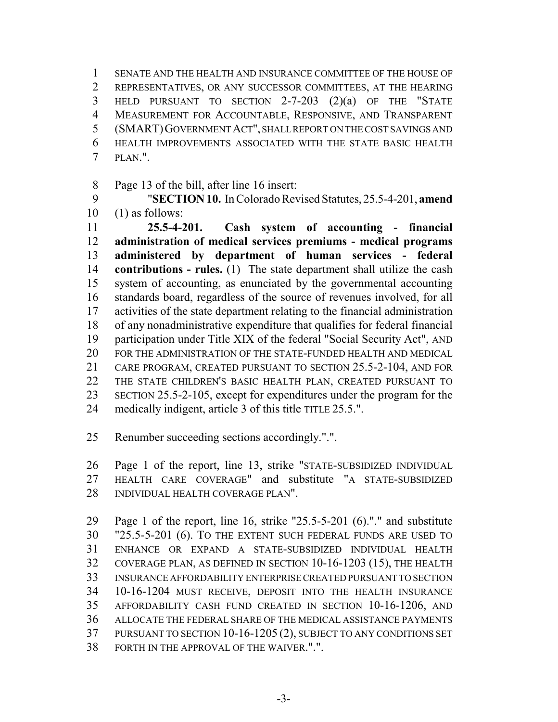SENATE AND THE HEALTH AND INSURANCE COMMITTEE OF THE HOUSE OF REPRESENTATIVES, OR ANY SUCCESSOR COMMITTEES, AT THE HEARING HELD PURSUANT TO SECTION 2-7-203 (2)(a) OF THE "STATE MEASUREMENT FOR ACCOUNTABLE, RESPONSIVE, AND TRANSPARENT (SMART)GOVERNMENT ACT", SHALL REPORT ON THE COST SAVINGS AND HEALTH IMPROVEMENTS ASSOCIATED WITH THE STATE BASIC HEALTH PLAN.".

Page 13 of the bill, after line 16 insert:

 "**SECTION 10.** In Colorado Revised Statutes, 25.5-4-201, **amend** (1) as follows:

 **25.5-4-201. Cash system of accounting - financial administration of medical services premiums - medical programs administered by department of human services - federal contributions - rules.** (1) The state department shall utilize the cash system of accounting, as enunciated by the governmental accounting standards board, regardless of the source of revenues involved, for all activities of the state department relating to the financial administration of any nonadministrative expenditure that qualifies for federal financial participation under Title XIX of the federal "Social Security Act", AND FOR THE ADMINISTRATION OF THE STATE-FUNDED HEALTH AND MEDICAL CARE PROGRAM, CREATED PURSUANT TO SECTION 25.5-2-104, AND FOR THE STATE CHILDREN'S BASIC HEALTH PLAN, CREATED PURSUANT TO SECTION 25.5-2-105, except for expenditures under the program for the 24 medically indigent, article 3 of this title TITLE 25.5.".

Renumber succeeding sections accordingly.".".

 Page 1 of the report, line 13, strike "STATE-SUBSIDIZED INDIVIDUAL HEALTH CARE COVERAGE" and substitute "A STATE-SUBSIDIZED 28 INDIVIDUAL HEALTH COVERAGE PLAN".

 Page 1 of the report, line 16, strike "25.5-5-201 (6)."." and substitute "25.5-5-201 (6). TO THE EXTENT SUCH FEDERAL FUNDS ARE USED TO ENHANCE OR EXPAND A STATE-SUBSIDIZED INDIVIDUAL HEALTH COVERAGE PLAN, AS DEFINED IN SECTION 10-16-1203 (15), THE HEALTH INSURANCE AFFORDABILITY ENTERPRISE CREATED PURSUANT TO SECTION 10-16-1204 MUST RECEIVE, DEPOSIT INTO THE HEALTH INSURANCE AFFORDABILITY CASH FUND CREATED IN SECTION 10-16-1206, AND ALLOCATE THE FEDERAL SHARE OF THE MEDICAL ASSISTANCE PAYMENTS PURSUANT TO SECTION 10-16-1205 (2), SUBJECT TO ANY CONDITIONS SET FORTH IN THE APPROVAL OF THE WAIVER.".".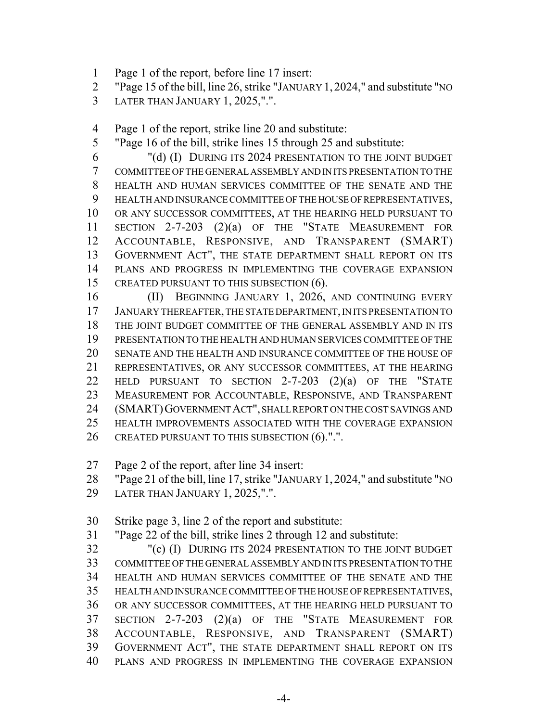- Page 1 of the report, before line 17 insert:
- "Page 15 of the bill, line 26, strike "JANUARY 1, 2024," and substitute "NO
- LATER THAN JANUARY 1, 2025,".".

Page 1 of the report, strike line 20 and substitute:

"Page 16 of the bill, strike lines 15 through 25 and substitute:

 "(d) (I) DURING ITS 2024 PRESENTATION TO THE JOINT BUDGET COMMITTEE OF THE GENERAL ASSEMBLY AND IN ITS PRESENTATION TO THE HEALTH AND HUMAN SERVICES COMMITTEE OF THE SENATE AND THE HEALTH AND INSURANCE COMMITTEE OF THE HOUSE OF REPRESENTATIVES, OR ANY SUCCESSOR COMMITTEES, AT THE HEARING HELD PURSUANT TO SECTION 2-7-203 (2)(a) OF THE "STATE MEASUREMENT FOR ACCOUNTABLE, RESPONSIVE, AND TRANSPARENT (SMART) GOVERNMENT ACT", THE STATE DEPARTMENT SHALL REPORT ON ITS PLANS AND PROGRESS IN IMPLEMENTING THE COVERAGE EXPANSION 15 CREATED PURSUANT TO THIS SUBSECTION (6).

 (II) BEGINNING JANUARY 1, 2026, AND CONTINUING EVERY JANUARY THEREAFTER, THE STATE DEPARTMENT, IN ITS PRESENTATION TO THE JOINT BUDGET COMMITTEE OF THE GENERAL ASSEMBLY AND IN ITS PRESENTATION TO THE HEALTH AND HUMAN SERVICES COMMITTEE OF THE SENATE AND THE HEALTH AND INSURANCE COMMITTEE OF THE HOUSE OF REPRESENTATIVES, OR ANY SUCCESSOR COMMITTEES, AT THE HEARING HELD PURSUANT TO SECTION 2-7-203 (2)(a) OF THE "STATE MEASUREMENT FOR ACCOUNTABLE, RESPONSIVE, AND TRANSPARENT (SMART)GOVERNMENT ACT", SHALL REPORT ON THE COST SAVINGS AND HEALTH IMPROVEMENTS ASSOCIATED WITH THE COVERAGE EXPANSION 26 CREATED PURSUANT TO THIS SUBSECTION (6).".".

Page 2 of the report, after line 34 insert:

"Page 21 of the bill, line 17, strike "JANUARY 1, 2024," and substitute "NO

- LATER THAN JANUARY 1, 2025,".".
- Strike page 3, line 2 of the report and substitute:
- "Page 22 of the bill, strike lines 2 through 12 and substitute:

 "(c) (I) DURING ITS 2024 PRESENTATION TO THE JOINT BUDGET COMMITTEE OF THE GENERAL ASSEMBLY AND IN ITS PRESENTATION TO THE HEALTH AND HUMAN SERVICES COMMITTEE OF THE SENATE AND THE HEALTH AND INSURANCE COMMITTEE OF THE HOUSE OF REPRESENTATIVES, OR ANY SUCCESSOR COMMITTEES, AT THE HEARING HELD PURSUANT TO SECTION 2-7-203 (2)(a) OF THE "STATE MEASUREMENT FOR ACCOUNTABLE, RESPONSIVE, AND TRANSPARENT (SMART) GOVERNMENT ACT", THE STATE DEPARTMENT SHALL REPORT ON ITS PLANS AND PROGRESS IN IMPLEMENTING THE COVERAGE EXPANSION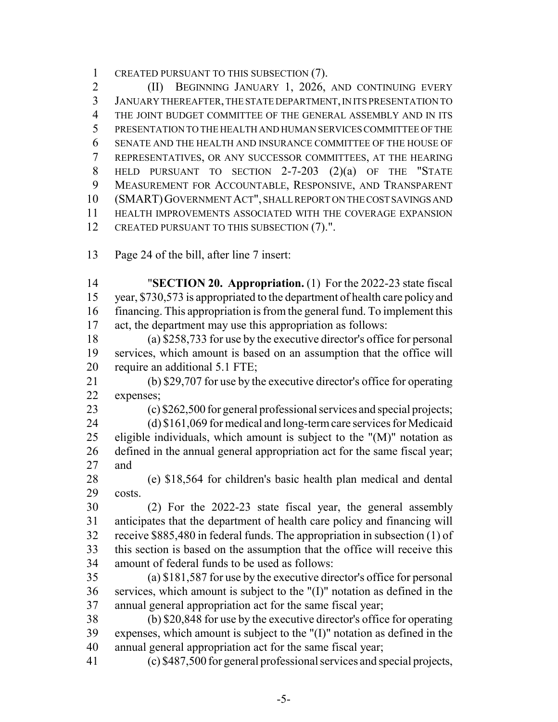CREATED PURSUANT TO THIS SUBSECTION (7).

 (II) BEGINNING JANUARY 1, 2026, AND CONTINUING EVERY JANUARY THEREAFTER, THE STATE DEPARTMENT, IN ITS PRESENTATION TO THE JOINT BUDGET COMMITTEE OF THE GENERAL ASSEMBLY AND IN ITS PRESENTATION TO THE HEALTH AND HUMAN SERVICES COMMITTEE OF THE SENATE AND THE HEALTH AND INSURANCE COMMITTEE OF THE HOUSE OF REPRESENTATIVES, OR ANY SUCCESSOR COMMITTEES, AT THE HEARING HELD PURSUANT TO SECTION 2-7-203 (2)(a) OF THE "STATE MEASUREMENT FOR ACCOUNTABLE, RESPONSIVE, AND TRANSPARENT (SMART)GOVERNMENT ACT", SHALL REPORT ON THE COST SAVINGS AND HEALTH IMPROVEMENTS ASSOCIATED WITH THE COVERAGE EXPANSION 12 CREATED PURSUANT TO THIS SUBSECTION (7).".

Page 24 of the bill, after line 7 insert:

 "**SECTION 20. Appropriation.** (1) For the 2022-23 state fiscal year, \$730,573 is appropriated to the department of health care policy and financing. This appropriation is from the general fund. To implement this act, the department may use this appropriation as follows:

 (a) \$258,733 for use by the executive director's office for personal services, which amount is based on an assumption that the office will 20 require an additional 5.1 FTE;

 (b) \$29,707 for use by the executive director's office for operating expenses;

(c) \$262,500 for general professional services and special projects;

 (d) \$161,069 for medical and long-term care services for Medicaid 25 eligible individuals, which amount is subject to the " $(M)$ " notation as defined in the annual general appropriation act for the same fiscal year; and

 (e) \$18,564 for children's basic health plan medical and dental costs.

 (2) For the 2022-23 state fiscal year, the general assembly anticipates that the department of health care policy and financing will receive \$885,480 in federal funds. The appropriation in subsection (1) of this section is based on the assumption that the office will receive this amount of federal funds to be used as follows:

 (a) \$181,587 for use by the executive director's office for personal services, which amount is subject to the "(I)" notation as defined in the annual general appropriation act for the same fiscal year;

 (b) \$20,848 for use by the executive director's office for operating expenses, which amount is subject to the "(I)" notation as defined in the annual general appropriation act for the same fiscal year;

(c) \$487,500 for general professional services and special projects,